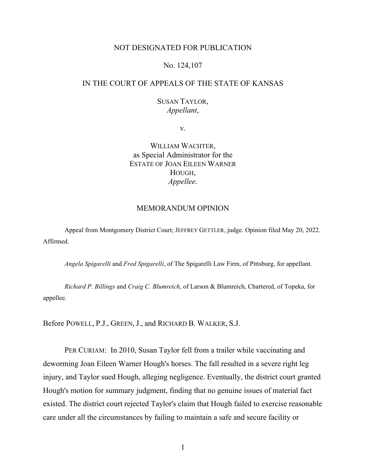# NOT DESIGNATED FOR PUBLICATION

# No. 124,107

# IN THE COURT OF APPEALS OF THE STATE OF KANSAS

# SUSAN TAYLOR, *Appellant*,

v.

WILLIAM WACHTER, as Special Administrator for the ESTATE OF JOAN EILEEN WARNER HOUGH, *Appellee*.

### MEMORANDUM OPINION

Appeal from Montgomery District Court; JEFFREY GETTLER, judge. Opinion filed May 20, 2022. Affirmed.

*Angela Spigarelli* and *Fred Spigarelli*, of The Spigarelli Law Firm, of Pittsburg, for appellant.

*Richard P. Billings* and *Craig C. Blumreich*, of Larson & Blumreich, Chartered, of Topeka, for appellee.

Before POWELL, P.J., GREEN, J., and RICHARD B. WALKER, S.J.

PER CURIAM: In 2010, Susan Taylor fell from a trailer while vaccinating and deworming Joan Eileen Warner Hough's horses. The fall resulted in a severe right leg injury, and Taylor sued Hough, alleging negligence. Eventually, the district court granted Hough's motion for summary judgment, finding that no genuine issues of material fact existed. The district court rejected Taylor's claim that Hough failed to exercise reasonable care under all the circumstances by failing to maintain a safe and secure facility or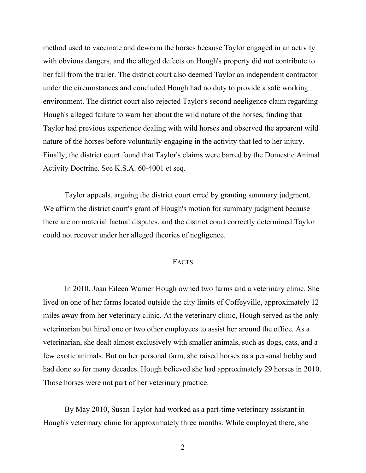method used to vaccinate and deworm the horses because Taylor engaged in an activity with obvious dangers, and the alleged defects on Hough's property did not contribute to her fall from the trailer. The district court also deemed Taylor an independent contractor under the circumstances and concluded Hough had no duty to provide a safe working environment. The district court also rejected Taylor's second negligence claim regarding Hough's alleged failure to warn her about the wild nature of the horses, finding that Taylor had previous experience dealing with wild horses and observed the apparent wild nature of the horses before voluntarily engaging in the activity that led to her injury. Finally, the district court found that Taylor's claims were barred by the Domestic Animal Activity Doctrine. See K.S.A. 60-4001 et seq.

Taylor appeals, arguing the district court erred by granting summary judgment. We affirm the district court's grant of Hough's motion for summary judgment because there are no material factual disputes, and the district court correctly determined Taylor could not recover under her alleged theories of negligence.

#### FACTS

In 2010, Joan Eileen Warner Hough owned two farms and a veterinary clinic. She lived on one of her farms located outside the city limits of Coffeyville, approximately 12 miles away from her veterinary clinic. At the veterinary clinic, Hough served as the only veterinarian but hired one or two other employees to assist her around the office. As a veterinarian, she dealt almost exclusively with smaller animals, such as dogs, cats, and a few exotic animals. But on her personal farm, she raised horses as a personal hobby and had done so for many decades. Hough believed she had approximately 29 horses in 2010. Those horses were not part of her veterinary practice.

By May 2010, Susan Taylor had worked as a part-time veterinary assistant in Hough's veterinary clinic for approximately three months. While employed there, she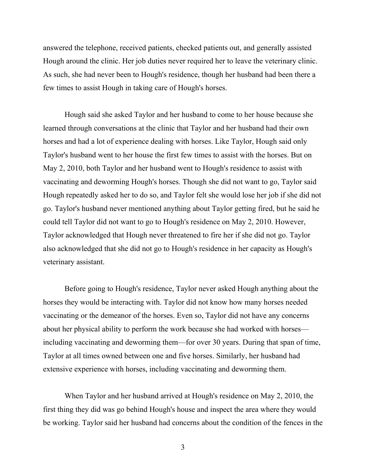answered the telephone, received patients, checked patients out, and generally assisted Hough around the clinic. Her job duties never required her to leave the veterinary clinic. As such, she had never been to Hough's residence, though her husband had been there a few times to assist Hough in taking care of Hough's horses.

Hough said she asked Taylor and her husband to come to her house because she learned through conversations at the clinic that Taylor and her husband had their own horses and had a lot of experience dealing with horses. Like Taylor, Hough said only Taylor's husband went to her house the first few times to assist with the horses. But on May 2, 2010, both Taylor and her husband went to Hough's residence to assist with vaccinating and deworming Hough's horses. Though she did not want to go, Taylor said Hough repeatedly asked her to do so, and Taylor felt she would lose her job if she did not go. Taylor's husband never mentioned anything about Taylor getting fired, but he said he could tell Taylor did not want to go to Hough's residence on May 2, 2010. However, Taylor acknowledged that Hough never threatened to fire her if she did not go. Taylor also acknowledged that she did not go to Hough's residence in her capacity as Hough's veterinary assistant.

Before going to Hough's residence, Taylor never asked Hough anything about the horses they would be interacting with. Taylor did not know how many horses needed vaccinating or the demeanor of the horses. Even so, Taylor did not have any concerns about her physical ability to perform the work because she had worked with horses including vaccinating and deworming them—for over 30 years. During that span of time, Taylor at all times owned between one and five horses. Similarly, her husband had extensive experience with horses, including vaccinating and deworming them.

When Taylor and her husband arrived at Hough's residence on May 2, 2010, the first thing they did was go behind Hough's house and inspect the area where they would be working. Taylor said her husband had concerns about the condition of the fences in the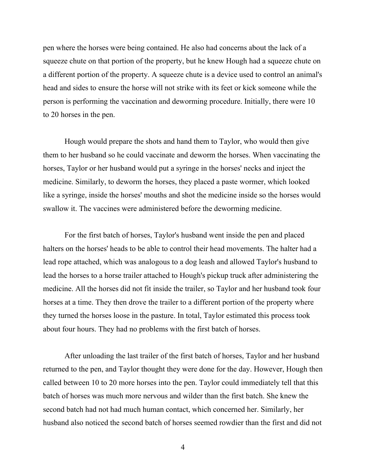pen where the horses were being contained. He also had concerns about the lack of a squeeze chute on that portion of the property, but he knew Hough had a squeeze chute on a different portion of the property. A squeeze chute is a device used to control an animal's head and sides to ensure the horse will not strike with its feet or kick someone while the person is performing the vaccination and deworming procedure. Initially, there were 10 to 20 horses in the pen.

Hough would prepare the shots and hand them to Taylor, who would then give them to her husband so he could vaccinate and deworm the horses. When vaccinating the horses, Taylor or her husband would put a syringe in the horses' necks and inject the medicine. Similarly, to deworm the horses, they placed a paste wormer, which looked like a syringe, inside the horses' mouths and shot the medicine inside so the horses would swallow it. The vaccines were administered before the deworming medicine.

For the first batch of horses, Taylor's husband went inside the pen and placed halters on the horses' heads to be able to control their head movements. The halter had a lead rope attached, which was analogous to a dog leash and allowed Taylor's husband to lead the horses to a horse trailer attached to Hough's pickup truck after administering the medicine. All the horses did not fit inside the trailer, so Taylor and her husband took four horses at a time. They then drove the trailer to a different portion of the property where they turned the horses loose in the pasture. In total, Taylor estimated this process took about four hours. They had no problems with the first batch of horses.

After unloading the last trailer of the first batch of horses, Taylor and her husband returned to the pen, and Taylor thought they were done for the day. However, Hough then called between 10 to 20 more horses into the pen. Taylor could immediately tell that this batch of horses was much more nervous and wilder than the first batch. She knew the second batch had not had much human contact, which concerned her. Similarly, her husband also noticed the second batch of horses seemed rowdier than the first and did not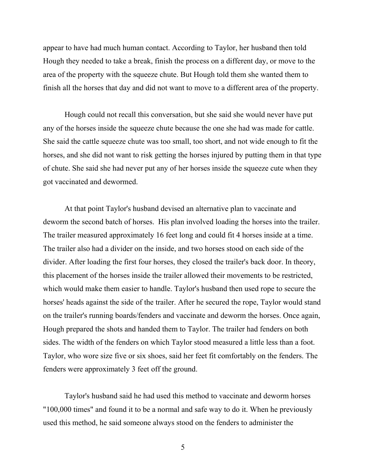appear to have had much human contact. According to Taylor, her husband then told Hough they needed to take a break, finish the process on a different day, or move to the area of the property with the squeeze chute. But Hough told them she wanted them to finish all the horses that day and did not want to move to a different area of the property.

Hough could not recall this conversation, but she said she would never have put any of the horses inside the squeeze chute because the one she had was made for cattle. She said the cattle squeeze chute was too small, too short, and not wide enough to fit the horses, and she did not want to risk getting the horses injured by putting them in that type of chute. She said she had never put any of her horses inside the squeeze cute when they got vaccinated and dewormed.

At that point Taylor's husband devised an alternative plan to vaccinate and deworm the second batch of horses. His plan involved loading the horses into the trailer. The trailer measured approximately 16 feet long and could fit 4 horses inside at a time. The trailer also had a divider on the inside, and two horses stood on each side of the divider. After loading the first four horses, they closed the trailer's back door. In theory, this placement of the horses inside the trailer allowed their movements to be restricted, which would make them easier to handle. Taylor's husband then used rope to secure the horses' heads against the side of the trailer. After he secured the rope, Taylor would stand on the trailer's running boards/fenders and vaccinate and deworm the horses. Once again, Hough prepared the shots and handed them to Taylor. The trailer had fenders on both sides. The width of the fenders on which Taylor stood measured a little less than a foot. Taylor, who wore size five or six shoes, said her feet fit comfortably on the fenders. The fenders were approximately 3 feet off the ground.

Taylor's husband said he had used this method to vaccinate and deworm horses "100,000 times" and found it to be a normal and safe way to do it. When he previously used this method, he said someone always stood on the fenders to administer the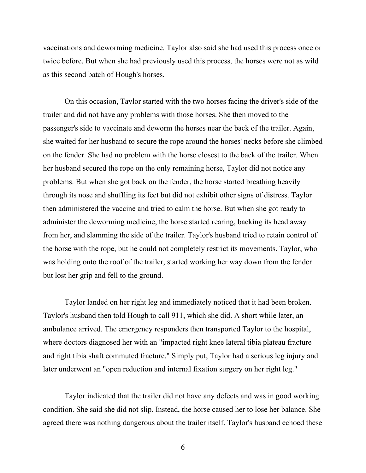vaccinations and deworming medicine. Taylor also said she had used this process once or twice before. But when she had previously used this process, the horses were not as wild as this second batch of Hough's horses.

On this occasion, Taylor started with the two horses facing the driver's side of the trailer and did not have any problems with those horses. She then moved to the passenger's side to vaccinate and deworm the horses near the back of the trailer. Again, she waited for her husband to secure the rope around the horses' necks before she climbed on the fender. She had no problem with the horse closest to the back of the trailer. When her husband secured the rope on the only remaining horse, Taylor did not notice any problems. But when she got back on the fender, the horse started breathing heavily through its nose and shuffling its feet but did not exhibit other signs of distress. Taylor then administered the vaccine and tried to calm the horse. But when she got ready to administer the deworming medicine, the horse started rearing, backing its head away from her, and slamming the side of the trailer. Taylor's husband tried to retain control of the horse with the rope, but he could not completely restrict its movements. Taylor, who was holding onto the roof of the trailer, started working her way down from the fender but lost her grip and fell to the ground.

Taylor landed on her right leg and immediately noticed that it had been broken. Taylor's husband then told Hough to call 911, which she did. A short while later, an ambulance arrived. The emergency responders then transported Taylor to the hospital, where doctors diagnosed her with an "impacted right knee lateral tibia plateau fracture and right tibia shaft commuted fracture." Simply put, Taylor had a serious leg injury and later underwent an "open reduction and internal fixation surgery on her right leg."

Taylor indicated that the trailer did not have any defects and was in good working condition. She said she did not slip. Instead, the horse caused her to lose her balance. She agreed there was nothing dangerous about the trailer itself. Taylor's husband echoed these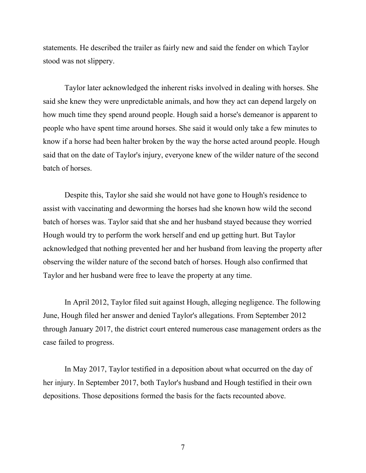statements. He described the trailer as fairly new and said the fender on which Taylor stood was not slippery.

Taylor later acknowledged the inherent risks involved in dealing with horses. She said she knew they were unpredictable animals, and how they act can depend largely on how much time they spend around people. Hough said a horse's demeanor is apparent to people who have spent time around horses. She said it would only take a few minutes to know if a horse had been halter broken by the way the horse acted around people. Hough said that on the date of Taylor's injury, everyone knew of the wilder nature of the second batch of horses.

Despite this, Taylor she said she would not have gone to Hough's residence to assist with vaccinating and deworming the horses had she known how wild the second batch of horses was. Taylor said that she and her husband stayed because they worried Hough would try to perform the work herself and end up getting hurt. But Taylor acknowledged that nothing prevented her and her husband from leaving the property after observing the wilder nature of the second batch of horses. Hough also confirmed that Taylor and her husband were free to leave the property at any time.

In April 2012, Taylor filed suit against Hough, alleging negligence. The following June, Hough filed her answer and denied Taylor's allegations. From September 2012 through January 2017, the district court entered numerous case management orders as the case failed to progress.

In May 2017, Taylor testified in a deposition about what occurred on the day of her injury. In September 2017, both Taylor's husband and Hough testified in their own depositions. Those depositions formed the basis for the facts recounted above.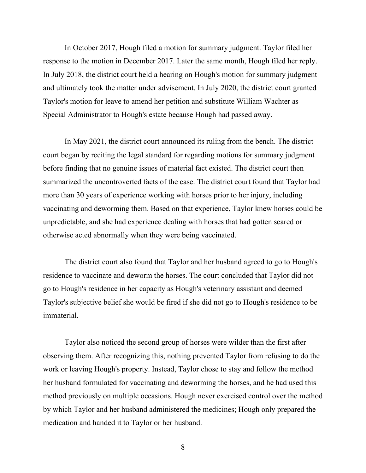In October 2017, Hough filed a motion for summary judgment. Taylor filed her response to the motion in December 2017. Later the same month, Hough filed her reply. In July 2018, the district court held a hearing on Hough's motion for summary judgment and ultimately took the matter under advisement. In July 2020, the district court granted Taylor's motion for leave to amend her petition and substitute William Wachter as Special Administrator to Hough's estate because Hough had passed away.

In May 2021, the district court announced its ruling from the bench. The district court began by reciting the legal standard for regarding motions for summary judgment before finding that no genuine issues of material fact existed. The district court then summarized the uncontroverted facts of the case. The district court found that Taylor had more than 30 years of experience working with horses prior to her injury, including vaccinating and deworming them. Based on that experience, Taylor knew horses could be unpredictable, and she had experience dealing with horses that had gotten scared or otherwise acted abnormally when they were being vaccinated.

The district court also found that Taylor and her husband agreed to go to Hough's residence to vaccinate and deworm the horses. The court concluded that Taylor did not go to Hough's residence in her capacity as Hough's veterinary assistant and deemed Taylor's subjective belief she would be fired if she did not go to Hough's residence to be immaterial.

Taylor also noticed the second group of horses were wilder than the first after observing them. After recognizing this, nothing prevented Taylor from refusing to do the work or leaving Hough's property. Instead, Taylor chose to stay and follow the method her husband formulated for vaccinating and deworming the horses, and he had used this method previously on multiple occasions. Hough never exercised control over the method by which Taylor and her husband administered the medicines; Hough only prepared the medication and handed it to Taylor or her husband.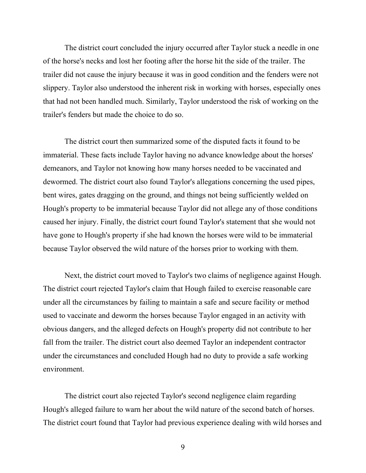The district court concluded the injury occurred after Taylor stuck a needle in one of the horse's necks and lost her footing after the horse hit the side of the trailer. The trailer did not cause the injury because it was in good condition and the fenders were not slippery. Taylor also understood the inherent risk in working with horses, especially ones that had not been handled much. Similarly, Taylor understood the risk of working on the trailer's fenders but made the choice to do so.

The district court then summarized some of the disputed facts it found to be immaterial. These facts include Taylor having no advance knowledge about the horses' demeanors, and Taylor not knowing how many horses needed to be vaccinated and dewormed. The district court also found Taylor's allegations concerning the used pipes, bent wires, gates dragging on the ground, and things not being sufficiently welded on Hough's property to be immaterial because Taylor did not allege any of those conditions caused her injury. Finally, the district court found Taylor's statement that she would not have gone to Hough's property if she had known the horses were wild to be immaterial because Taylor observed the wild nature of the horses prior to working with them.

Next, the district court moved to Taylor's two claims of negligence against Hough. The district court rejected Taylor's claim that Hough failed to exercise reasonable care under all the circumstances by failing to maintain a safe and secure facility or method used to vaccinate and deworm the horses because Taylor engaged in an activity with obvious dangers, and the alleged defects on Hough's property did not contribute to her fall from the trailer. The district court also deemed Taylor an independent contractor under the circumstances and concluded Hough had no duty to provide a safe working environment.

The district court also rejected Taylor's second negligence claim regarding Hough's alleged failure to warn her about the wild nature of the second batch of horses. The district court found that Taylor had previous experience dealing with wild horses and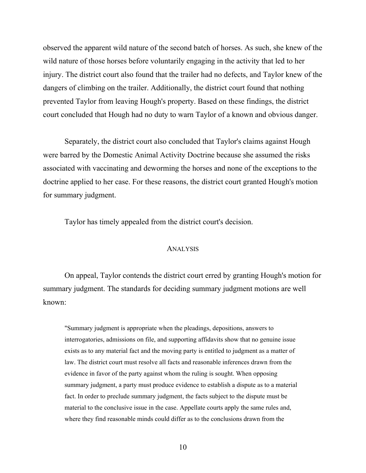observed the apparent wild nature of the second batch of horses. As such, she knew of the wild nature of those horses before voluntarily engaging in the activity that led to her injury. The district court also found that the trailer had no defects, and Taylor knew of the dangers of climbing on the trailer. Additionally, the district court found that nothing prevented Taylor from leaving Hough's property. Based on these findings, the district court concluded that Hough had no duty to warn Taylor of a known and obvious danger.

Separately, the district court also concluded that Taylor's claims against Hough were barred by the Domestic Animal Activity Doctrine because she assumed the risks associated with vaccinating and deworming the horses and none of the exceptions to the doctrine applied to her case. For these reasons, the district court granted Hough's motion for summary judgment.

Taylor has timely appealed from the district court's decision.

#### ANALYSIS

On appeal, Taylor contends the district court erred by granting Hough's motion for summary judgment. The standards for deciding summary judgment motions are well known:

"Summary judgment is appropriate when the pleadings, depositions, answers to interrogatories, admissions on file, and supporting affidavits show that no genuine issue exists as to any material fact and the moving party is entitled to judgment as a matter of law. The district court must resolve all facts and reasonable inferences drawn from the evidence in favor of the party against whom the ruling is sought. When opposing summary judgment, a party must produce evidence to establish a dispute as to a material fact. In order to preclude summary judgment, the facts subject to the dispute must be material to the conclusive issue in the case. Appellate courts apply the same rules and, where they find reasonable minds could differ as to the conclusions drawn from the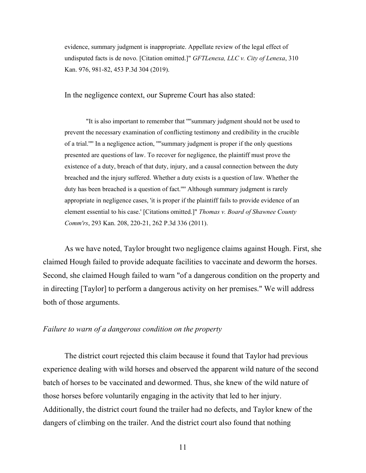evidence, summary judgment is inappropriate. Appellate review of the legal effect of undisputed facts is de novo. [Citation omitted.]" *GFTLenexa, LLC v. City of Lenexa*, 310 Kan. 976, 981-82, 453 P.3d 304 (2019).

In the negligence context, our Supreme Court has also stated:

"It is also important to remember that '"'summary judgment should not be used to prevent the necessary examination of conflicting testimony and credibility in the crucible of a trial.'"' In a negligence action, '"'summary judgment is proper if the only questions presented are questions of law. To recover for negligence, the plaintiff must prove the existence of a duty, breach of that duty, injury, and a causal connection between the duty breached and the injury suffered. Whether a duty exists is a question of law. Whether the duty has been breached is a question of fact.'"' Although summary judgment is rarely appropriate in negligence cases, 'it is proper if the plaintiff fails to provide evidence of an element essential to his case.' [Citations omitted.]" *Thomas v. Board of Shawnee County Comm'rs*, 293 Kan. 208, 220-21, 262 P.3d 336 (2011).

As we have noted, Taylor brought two negligence claims against Hough. First, she claimed Hough failed to provide adequate facilities to vaccinate and deworm the horses. Second, she claimed Hough failed to warn "of a dangerous condition on the property and in directing [Taylor] to perform a dangerous activity on her premises." We will address both of those arguments.

# *Failure to warn of a dangerous condition on the property*

The district court rejected this claim because it found that Taylor had previous experience dealing with wild horses and observed the apparent wild nature of the second batch of horses to be vaccinated and dewormed. Thus, she knew of the wild nature of those horses before voluntarily engaging in the activity that led to her injury. Additionally, the district court found the trailer had no defects, and Taylor knew of the dangers of climbing on the trailer. And the district court also found that nothing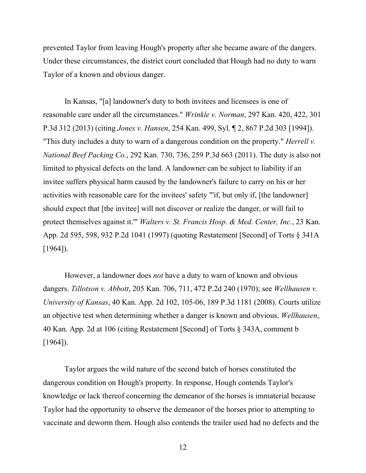prevented Taylor from leaving Hough's property after she became aware of the dangers. Under these circumstances, the district court concluded that Hough had no duty to warn Taylor of a known and obvious danger.

In Kansas, "[a] landowner's duty to both invitees and licensees is one of reasonable care under all the circumstances." *Wrinkle v. Norman*, 297 Kan. 420, 422, 301 P.3d 312 (2013) (citing *Jones v. Hansen*, 254 Kan. 499, Syl. ¶ 2, 867 P.2d 303 [1994]). "This duty includes a duty to warn of a dangerous condition on the property." *Herrell v. National Beef Packing Co.*, 292 Kan. 730, 736, 259 P.3d 663 (2011). The duty is also not limited to physical defects on the land. A landowner can be subject to liability if an invitee suffers physical harm caused by the landowner's failure to carry on his or her activities with reasonable care for the invitees' safety "'if, but only if, [the landowner] should expect that [the invitee] will not discover or realize the danger, or will fail to protect themselves against it.'" *Walters v. St. Francis Hosp. & Med. Center, Inc.*, 23 Kan. App. 2d 595, 598, 932 P.2d 1041 (1997) (quoting Restatement [Second] of Torts § 341A [1964]).

However, a landowner does *not* have a duty to warn of known and obvious dangers. *Tillotson v. Abbott*, 205 Kan. 706, 711, 472 P.2d 240 (1970); see *Wellhausen v. University of Kansas*, 40 Kan. App. 2d 102, 105-06, 189 P.3d 1181 (2008). Courts utilize an objective test when determining whether a danger is known and obvious. *Wellhausen*, 40 Kan. App. 2d at 106 (citing Restatement [Second] of Torts § 343A, comment b [1964]).

Taylor argues the wild nature of the second batch of horses constituted the dangerous condition on Hough's property. In response, Hough contends Taylor's knowledge or lack thereof concerning the demeanor of the horses is immaterial because Taylor had the opportunity to observe the demeanor of the horses prior to attempting to vaccinate and deworm them. Hough also contends the trailer used had no defects and the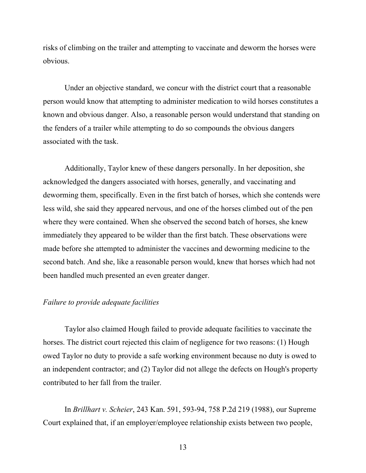risks of climbing on the trailer and attempting to vaccinate and deworm the horses were obvious.

Under an objective standard, we concur with the district court that a reasonable person would know that attempting to administer medication to wild horses constitutes a known and obvious danger. Also, a reasonable person would understand that standing on the fenders of a trailer while attempting to do so compounds the obvious dangers associated with the task.

Additionally, Taylor knew of these dangers personally. In her deposition, she acknowledged the dangers associated with horses, generally, and vaccinating and deworming them, specifically. Even in the first batch of horses, which she contends were less wild, she said they appeared nervous, and one of the horses climbed out of the pen where they were contained. When she observed the second batch of horses, she knew immediately they appeared to be wilder than the first batch. These observations were made before she attempted to administer the vaccines and deworming medicine to the second batch. And she, like a reasonable person would, knew that horses which had not been handled much presented an even greater danger.

# *Failure to provide adequate facilities*

Taylor also claimed Hough failed to provide adequate facilities to vaccinate the horses. The district court rejected this claim of negligence for two reasons: (1) Hough owed Taylor no duty to provide a safe working environment because no duty is owed to an independent contractor; and (2) Taylor did not allege the defects on Hough's property contributed to her fall from the trailer.

In *Brillhart v. Scheier*, 243 Kan. 591, 593-94, 758 P.2d 219 (1988), our Supreme Court explained that, if an employer/employee relationship exists between two people,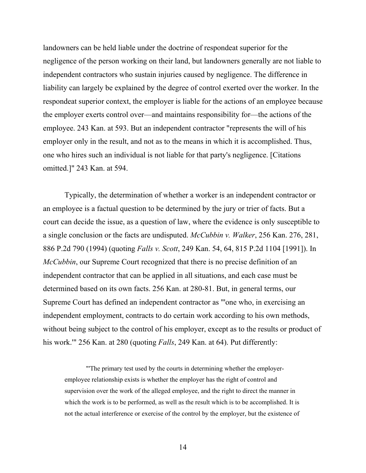landowners can be held liable under the doctrine of respondeat superior for the negligence of the person working on their land, but landowners generally are not liable to independent contractors who sustain injuries caused by negligence. The difference in liability can largely be explained by the degree of control exerted over the worker. In the respondeat superior context, the employer is liable for the actions of an employee because the employer exerts control over—and maintains responsibility for—the actions of the employee. 243 Kan. at 593. But an independent contractor "represents the will of his employer only in the result, and not as to the means in which it is accomplished. Thus, one who hires such an individual is not liable for that party's negligence. [Citations omitted.]" 243 Kan. at 594.

Typically, the determination of whether a worker is an independent contractor or an employee is a factual question to be determined by the jury or trier of facts. But a court can decide the issue, as a question of law, where the evidence is only susceptible to a single conclusion or the facts are undisputed. *McCubbin v. Walker*, 256 Kan. 276, 281, 886 P.2d 790 (1994) (quoting *Falls v. Scott*, 249 Kan. 54, 64, 815 P.2d 1104 [1991]). In *McCubbin*, our Supreme Court recognized that there is no precise definition of an independent contractor that can be applied in all situations, and each case must be determined based on its own facts. 256 Kan. at 280-81. But, in general terms, our Supreme Court has defined an independent contractor as "'one who, in exercising an independent employment, contracts to do certain work according to his own methods, without being subject to the control of his employer, except as to the results or product of his work.'" 256 Kan. at 280 (quoting *Falls*, 249 Kan. at 64). Put differently:

"'The primary test used by the courts in determining whether the employeremployee relationship exists is whether the employer has the right of control and supervision over the work of the alleged employee, and the right to direct the manner in which the work is to be performed, as well as the result which is to be accomplished. It is not the actual interference or exercise of the control by the employer, but the existence of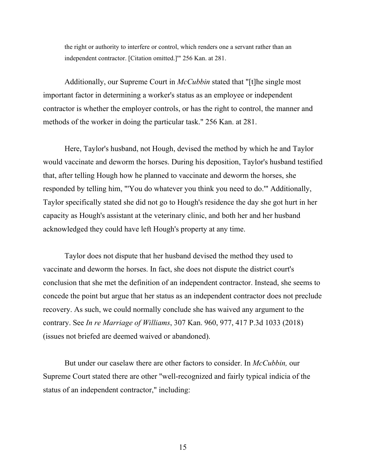the right or authority to interfere or control, which renders one a servant rather than an independent contractor. [Citation omitted.]'" 256 Kan. at 281.

Additionally, our Supreme Court in *McCubbin* stated that "[t]he single most important factor in determining a worker's status as an employee or independent contractor is whether the employer controls, or has the right to control, the manner and methods of the worker in doing the particular task." 256 Kan. at 281.

Here, Taylor's husband, not Hough, devised the method by which he and Taylor would vaccinate and deworm the horses. During his deposition, Taylor's husband testified that, after telling Hough how he planned to vaccinate and deworm the horses, she responded by telling him, "'You do whatever you think you need to do.'" Additionally, Taylor specifically stated she did not go to Hough's residence the day she got hurt in her capacity as Hough's assistant at the veterinary clinic, and both her and her husband acknowledged they could have left Hough's property at any time.

Taylor does not dispute that her husband devised the method they used to vaccinate and deworm the horses. In fact, she does not dispute the district court's conclusion that she met the definition of an independent contractor. Instead, she seems to concede the point but argue that her status as an independent contractor does not preclude recovery. As such, we could normally conclude she has waived any argument to the contrary. See *In re Marriage of Williams*, 307 Kan. 960, 977, 417 P.3d 1033 (2018) (issues not briefed are deemed waived or abandoned).

But under our caselaw there are other factors to consider. In *McCubbin,* our Supreme Court stated there are other "well-recognized and fairly typical indicia of the status of an independent contractor," including: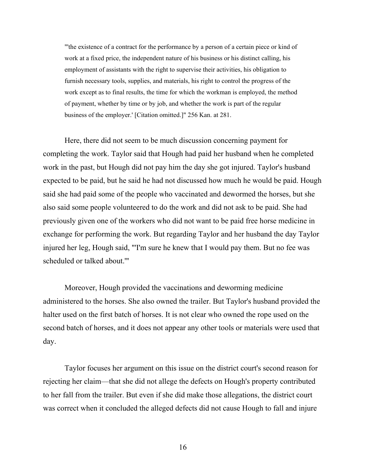"'the existence of a contract for the performance by a person of a certain piece or kind of work at a fixed price, the independent nature of his business or his distinct calling, his employment of assistants with the right to supervise their activities, his obligation to furnish necessary tools, supplies, and materials, his right to control the progress of the work except as to final results, the time for which the workman is employed, the method of payment, whether by time or by job, and whether the work is part of the regular business of the employer.' [Citation omitted.]" 256 Kan. at 281.

Here, there did not seem to be much discussion concerning payment for completing the work. Taylor said that Hough had paid her husband when he completed work in the past, but Hough did not pay him the day she got injured. Taylor's husband expected to be paid, but he said he had not discussed how much he would be paid. Hough said she had paid some of the people who vaccinated and dewormed the horses, but she also said some people volunteered to do the work and did not ask to be paid. She had previously given one of the workers who did not want to be paid free horse medicine in exchange for performing the work. But regarding Taylor and her husband the day Taylor injured her leg, Hough said, "'I'm sure he knew that I would pay them. But no fee was scheduled or talked about.'"

Moreover, Hough provided the vaccinations and deworming medicine administered to the horses. She also owned the trailer. But Taylor's husband provided the halter used on the first batch of horses. It is not clear who owned the rope used on the second batch of horses, and it does not appear any other tools or materials were used that day.

Taylor focuses her argument on this issue on the district court's second reason for rejecting her claim—that she did not allege the defects on Hough's property contributed to her fall from the trailer. But even if she did make those allegations, the district court was correct when it concluded the alleged defects did not cause Hough to fall and injure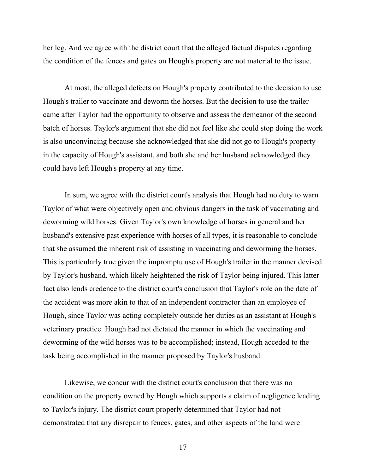her leg. And we agree with the district court that the alleged factual disputes regarding the condition of the fences and gates on Hough's property are not material to the issue.

At most, the alleged defects on Hough's property contributed to the decision to use Hough's trailer to vaccinate and deworm the horses. But the decision to use the trailer came after Taylor had the opportunity to observe and assess the demeanor of the second batch of horses. Taylor's argument that she did not feel like she could stop doing the work is also unconvincing because she acknowledged that she did not go to Hough's property in the capacity of Hough's assistant, and both she and her husband acknowledged they could have left Hough's property at any time.

In sum, we agree with the district court's analysis that Hough had no duty to warn Taylor of what were objectively open and obvious dangers in the task of vaccinating and deworming wild horses. Given Taylor's own knowledge of horses in general and her husband's extensive past experience with horses of all types, it is reasonable to conclude that she assumed the inherent risk of assisting in vaccinating and deworming the horses. This is particularly true given the impromptu use of Hough's trailer in the manner devised by Taylor's husband, which likely heightened the risk of Taylor being injured. This latter fact also lends credence to the district court's conclusion that Taylor's role on the date of the accident was more akin to that of an independent contractor than an employee of Hough, since Taylor was acting completely outside her duties as an assistant at Hough's veterinary practice. Hough had not dictated the manner in which the vaccinating and deworming of the wild horses was to be accomplished; instead, Hough acceded to the task being accomplished in the manner proposed by Taylor's husband.

Likewise, we concur with the district court's conclusion that there was no condition on the property owned by Hough which supports a claim of negligence leading to Taylor's injury. The district court properly determined that Taylor had not demonstrated that any disrepair to fences, gates, and other aspects of the land were